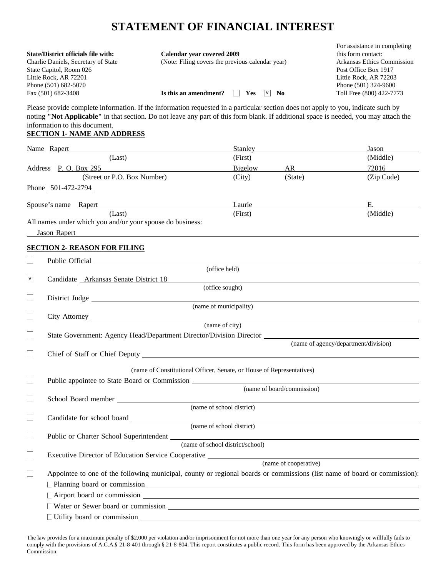# **STATEMENT OF FINANCIAL INTEREST**

|                                            |                                                                                                                                      | For assistance in completing |
|--------------------------------------------|--------------------------------------------------------------------------------------------------------------------------------------|------------------------------|
| <b>State/District officials file with:</b> | Calendar vear covered 2009                                                                                                           | this form contact:           |
| Charlie Daniels, Secretary of State        | (Note: Filing covers the previous calendar year)                                                                                     | Arkansas Ethics Commission   |
| State Capitol, Room 026                    |                                                                                                                                      | Post Office Box 1917         |
| Little Rock, AR 72201                      |                                                                                                                                      | Little Rock, AR 72203        |
| Phone (501) 682-5070                       |                                                                                                                                      | Phone (501) 324-9600         |
| Fax (501) 682-3408                         | Is this an amendment?<br>No.<br><b>Yes</b><br>V                                                                                      | Toll Free (800) 422-7773     |
|                                            | Please provide complete information. If the information requested in a particular section does not apply to you, indicate such by    |                              |
|                                            | noting "Not Applicable" in that section. Do not leave any part of this form blank. If additional space is needed, you may attach the |                              |
| information to this document.              |                                                                                                                                      |                              |

## **SECTION 1- NAME AND ADDRESS**

| Name Rapert                                                                                                                                                                                                                         | Stanley                                                               |                            | Jason                                |
|-------------------------------------------------------------------------------------------------------------------------------------------------------------------------------------------------------------------------------------|-----------------------------------------------------------------------|----------------------------|--------------------------------------|
| (Last)                                                                                                                                                                                                                              | (First)                                                               |                            | (Middle)                             |
| Address P. O. Box 295                                                                                                                                                                                                               | Bigelow                                                               | AR                         | 72016                                |
| (Street or P.O. Box Number)                                                                                                                                                                                                         | (City)                                                                | (State)                    | (Zip Code)                           |
| Phone 501-472-2794                                                                                                                                                                                                                  |                                                                       |                            |                                      |
| Spouse's name Rapert                                                                                                                                                                                                                | Laurie                                                                |                            | Е.                                   |
| (Last)                                                                                                                                                                                                                              | (First)                                                               |                            | (Middle)                             |
| All names under which you and/or your spouse do business:                                                                                                                                                                           |                                                                       |                            |                                      |
| Jason Rapert<br><u> 1989 - Andrea Andrew Maria (h. 1989).</u>                                                                                                                                                                       |                                                                       |                            |                                      |
| <b>SECTION 2- REASON FOR FILING</b>                                                                                                                                                                                                 |                                                                       |                            |                                      |
|                                                                                                                                                                                                                                     |                                                                       |                            |                                      |
|                                                                                                                                                                                                                                     | (office held)                                                         |                            |                                      |
| $\mathbf v$<br>Candidate Arkansas Senate District 18                                                                                                                                                                                |                                                                       |                            |                                      |
|                                                                                                                                                                                                                                     | (office sought)                                                       |                            |                                      |
| $\Box$                                                                                                                                                                                                                              |                                                                       |                            |                                      |
|                                                                                                                                                                                                                                     | (name of municipality)                                                |                            |                                      |
| $\Box$                                                                                                                                                                                                                              | $\frac{1}{\pi}$ (name of city)                                        |                            |                                      |
| $\Box$                                                                                                                                                                                                                              |                                                                       |                            |                                      |
|                                                                                                                                                                                                                                     |                                                                       |                            | (name of agency/department/division) |
| $\Box$                                                                                                                                                                                                                              |                                                                       |                            |                                      |
|                                                                                                                                                                                                                                     |                                                                       |                            |                                      |
|                                                                                                                                                                                                                                     | (name of Constitutional Officer, Senate, or House of Representatives) |                            |                                      |
| $\Box$<br>Public appointee to State Board or Commission                                                                                                                                                                             |                                                                       |                            |                                      |
|                                                                                                                                                                                                                                     |                                                                       | (name of board/commission) |                                      |
| School Board member                                                                                                                                                                                                                 |                                                                       |                            |                                      |
|                                                                                                                                                                                                                                     | (name of school district)                                             |                            |                                      |
| $\Box$                                                                                                                                                                                                                              | (name of school district)                                             |                            |                                      |
| $\Box$                                                                                                                                                                                                                              |                                                                       |                            |                                      |
|                                                                                                                                                                                                                                     | (name of school district/school)                                      |                            |                                      |
| $\Box$<br>Executive Director of Education Service Cooperative                                                                                                                                                                       |                                                                       |                            |                                      |
|                                                                                                                                                                                                                                     |                                                                       | (name of cooperative)      |                                      |
| $\Box$<br>Appointee to one of the following municipal, county or regional boards or commissions (list name of board or commission):                                                                                                 |                                                                       |                            |                                      |
| $\Box$ Planning board or commission                                                                                                                                                                                                 |                                                                       |                            |                                      |
| $\Box$ Airport board or commission $\Box$                                                                                                                                                                                           |                                                                       |                            |                                      |
| □ Water or Sewer board or commission <u>example and the set of the set of the set of the set of the set of the set of the set of the set of the set of the set of the set of the set of the set of the set of the set of the se</u> |                                                                       |                            |                                      |
| Utility board or commission                                                                                                                                                                                                         |                                                                       |                            |                                      |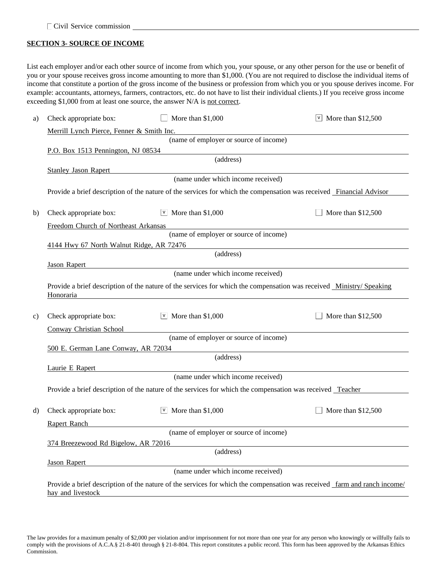## **SECTION 3- SOURCE OF INCOME**

List each employer and/or each other source of income from which you, your spouse, or any other person for the use or benefit of you or your spouse receives gross income amounting to more than \$1,000. (You are not required to disclose the individual items of income that constitute a portion of the gross income of the business or profession from which you or you spouse derives income. For example: accountants, attorneys, farmers, contractors, etc. do not have to list their individual clients.) If you receive gross income exceeding \$1,000 from at least one source, the answer N/A is not correct.

| a)                                               | Check appropriate box:                    | More than \$1,000                                                                                                   | $\vee$ More than \$12,500                                                                                                |  |  |  |
|--------------------------------------------------|-------------------------------------------|---------------------------------------------------------------------------------------------------------------------|--------------------------------------------------------------------------------------------------------------------------|--|--|--|
|                                                  | Merrill Lynch Pierce, Fenner & Smith Inc. |                                                                                                                     |                                                                                                                          |  |  |  |
|                                                  |                                           | (name of employer or source of income)                                                                              |                                                                                                                          |  |  |  |
|                                                  | P.O. Box 1513 Pennington, NJ 08534        |                                                                                                                     |                                                                                                                          |  |  |  |
|                                                  |                                           | (address)                                                                                                           |                                                                                                                          |  |  |  |
|                                                  | <b>Stanley Jason Rapert</b>               |                                                                                                                     |                                                                                                                          |  |  |  |
|                                                  |                                           | (name under which income received)                                                                                  |                                                                                                                          |  |  |  |
|                                                  |                                           | Provide a brief description of the nature of the services for which the compensation was received Financial Advisor |                                                                                                                          |  |  |  |
|                                                  |                                           |                                                                                                                     |                                                                                                                          |  |  |  |
| b)                                               | Check appropriate box:                    | $\vee$ More than \$1,000                                                                                            | More than \$12,500                                                                                                       |  |  |  |
|                                                  | Freedom Church of Northeast Arkansas      |                                                                                                                     |                                                                                                                          |  |  |  |
|                                                  |                                           | (name of employer or source of income)                                                                              |                                                                                                                          |  |  |  |
|                                                  | 4144 Hwy 67 North Walnut Ridge, AR 72476  |                                                                                                                     |                                                                                                                          |  |  |  |
|                                                  |                                           | (address)                                                                                                           |                                                                                                                          |  |  |  |
|                                                  | <b>Jason Rapert</b>                       | (name under which income received)                                                                                  |                                                                                                                          |  |  |  |
|                                                  |                                           |                                                                                                                     |                                                                                                                          |  |  |  |
|                                                  | Honoraria                                 | Provide a brief description of the nature of the services for which the compensation was received Ministry/Speaking |                                                                                                                          |  |  |  |
|                                                  |                                           |                                                                                                                     |                                                                                                                          |  |  |  |
| $\mathbf{c})$                                    | Check appropriate box:                    | $\vee$ More than \$1,000                                                                                            | More than \$12,500                                                                                                       |  |  |  |
|                                                  | Conway Christian School                   |                                                                                                                     |                                                                                                                          |  |  |  |
|                                                  | (name of employer or source of income)    |                                                                                                                     |                                                                                                                          |  |  |  |
| 500 E. German Lane Conway, AR 72034<br>(address) |                                           |                                                                                                                     |                                                                                                                          |  |  |  |
|                                                  |                                           |                                                                                                                     |                                                                                                                          |  |  |  |
|                                                  | Laurie E Rapert                           | (name under which income received)                                                                                  |                                                                                                                          |  |  |  |
|                                                  |                                           |                                                                                                                     |                                                                                                                          |  |  |  |
|                                                  |                                           | Provide a brief description of the nature of the services for which the compensation was received Teacher           |                                                                                                                          |  |  |  |
| d)                                               | Check appropriate box:                    | $\vee$ More than \$1,000                                                                                            | More than \$12,500                                                                                                       |  |  |  |
|                                                  | Rapert Ranch                              |                                                                                                                     |                                                                                                                          |  |  |  |
|                                                  |                                           | (name of employer or source of income)                                                                              |                                                                                                                          |  |  |  |
|                                                  | 374 Breezewood Rd Bigelow, AR 72016       |                                                                                                                     |                                                                                                                          |  |  |  |
|                                                  |                                           | (address)                                                                                                           |                                                                                                                          |  |  |  |
|                                                  | <b>Jason Rapert</b>                       |                                                                                                                     |                                                                                                                          |  |  |  |
|                                                  |                                           | (name under which income received)                                                                                  |                                                                                                                          |  |  |  |
|                                                  |                                           |                                                                                                                     | Provide a brief description of the nature of the services for which the compensation was received farm and ranch income/ |  |  |  |
|                                                  | hay and livestock                         |                                                                                                                     |                                                                                                                          |  |  |  |

The law provides for a maximum penalty of \$2,000 per violation and/or imprisonment for not more than one year for any person who knowingly or willfully fails to comply with the provisions of A.C.A.§ 21-8-401 through § 21-8-804. This report constitutes a public record. This form has been approved by the Arkansas Ethics Commission.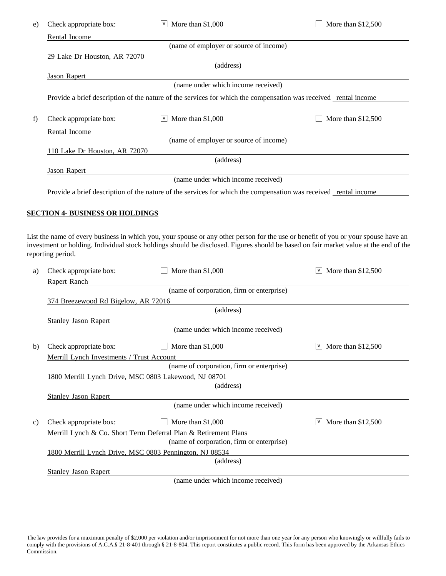| e) | Check appropriate box:                                | $\vee$ More than \$1,000                                                                                        | More than \$12,500                                                                                                                                                                                                                                                         |
|----|-------------------------------------------------------|-----------------------------------------------------------------------------------------------------------------|----------------------------------------------------------------------------------------------------------------------------------------------------------------------------------------------------------------------------------------------------------------------------|
|    | Rental Income                                         |                                                                                                                 |                                                                                                                                                                                                                                                                            |
|    |                                                       | (name of employer or source of income)                                                                          |                                                                                                                                                                                                                                                                            |
|    | 29 Lake Dr Houston, AR 72070                          | (address)                                                                                                       |                                                                                                                                                                                                                                                                            |
|    | <b>Jason Rapert</b>                                   |                                                                                                                 |                                                                                                                                                                                                                                                                            |
|    |                                                       | (name under which income received)                                                                              |                                                                                                                                                                                                                                                                            |
|    |                                                       | Provide a brief description of the nature of the services for which the compensation was received rental income |                                                                                                                                                                                                                                                                            |
|    |                                                       |                                                                                                                 |                                                                                                                                                                                                                                                                            |
| f) | Check appropriate box:                                | $\vee$ More than \$1,000                                                                                        | More than \$12,500                                                                                                                                                                                                                                                         |
|    | Rental Income                                         |                                                                                                                 |                                                                                                                                                                                                                                                                            |
|    | 110 Lake Dr Houston, AR 72070                         | (name of employer or source of income)                                                                          |                                                                                                                                                                                                                                                                            |
|    |                                                       | (address)                                                                                                       |                                                                                                                                                                                                                                                                            |
|    | <b>Jason Rapert</b>                                   |                                                                                                                 |                                                                                                                                                                                                                                                                            |
|    |                                                       | (name under which income received)                                                                              |                                                                                                                                                                                                                                                                            |
|    |                                                       | Provide a brief description of the nature of the services for which the compensation was received rental income |                                                                                                                                                                                                                                                                            |
|    |                                                       |                                                                                                                 |                                                                                                                                                                                                                                                                            |
|    | <b>SECTION 4- BUSINESS OR HOLDINGS</b>                |                                                                                                                 |                                                                                                                                                                                                                                                                            |
|    |                                                       |                                                                                                                 |                                                                                                                                                                                                                                                                            |
|    |                                                       |                                                                                                                 | List the name of every business in which you, your spouse or any other person for the use or benefit of you or your spouse have an<br>investment or holding. Individual stock holdings should be disclosed. Figures should be based on fair market value at the end of the |
|    | reporting period.                                     |                                                                                                                 |                                                                                                                                                                                                                                                                            |
| a) | Check appropriate box:                                | More than \$1,000                                                                                               | More than \$12,500<br> V                                                                                                                                                                                                                                                   |
|    | Rapert Ranch                                          |                                                                                                                 |                                                                                                                                                                                                                                                                            |
|    |                                                       | (name of corporation, firm or enterprise)                                                                       |                                                                                                                                                                                                                                                                            |
|    | 374 Breezewood Rd Bigelow, AR 72016                   |                                                                                                                 |                                                                                                                                                                                                                                                                            |
|    | <b>Stanley Jason Rapert</b>                           | (address)                                                                                                       |                                                                                                                                                                                                                                                                            |
|    |                                                       | (name under which income received)                                                                              |                                                                                                                                                                                                                                                                            |
|    | Check appropriate box:                                | More than \$1,000                                                                                               | More than \$12,500<br>V                                                                                                                                                                                                                                                    |
| b) | Merrill Lynch Investments / Trust Account             |                                                                                                                 |                                                                                                                                                                                                                                                                            |
|    |                                                       | (name of corporation, firm or enterprise)                                                                       |                                                                                                                                                                                                                                                                            |
|    | 1800 Merrill Lynch Drive, MSC 0803 Lakewood, NJ 08701 |                                                                                                                 |                                                                                                                                                                                                                                                                            |
|    |                                                       | (address)                                                                                                       |                                                                                                                                                                                                                                                                            |
|    | <b>Stanley Jason Rapert</b>                           |                                                                                                                 |                                                                                                                                                                                                                                                                            |
|    |                                                       | (name under which income received)                                                                              |                                                                                                                                                                                                                                                                            |
| C) | Check appropriate box:                                | More than \$1,000                                                                                               | $\sqrt{9}$ More than \$12,500                                                                                                                                                                                                                                              |
|    |                                                       | Merrill Lynch & Co. Short Term Deferral Plan & Retirement Plans                                                 |                                                                                                                                                                                                                                                                            |
|    |                                                       | (name of corporation, firm or enterprise)                                                                       |                                                                                                                                                                                                                                                                            |
|    |                                                       | 1800 Merrill Lynch Drive, MSC 0803 Pennington, NJ 08534                                                         |                                                                                                                                                                                                                                                                            |
|    |                                                       | (address)                                                                                                       |                                                                                                                                                                                                                                                                            |
|    | <b>Stanley Jason Rapert</b>                           | (name under which income received)                                                                              |                                                                                                                                                                                                                                                                            |
|    |                                                       |                                                                                                                 |                                                                                                                                                                                                                                                                            |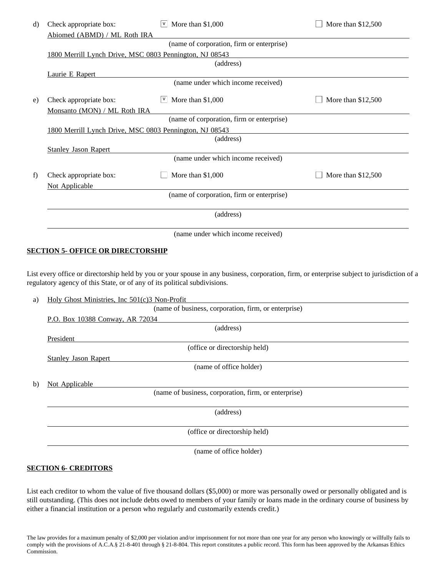| d) | Check appropriate box:                                  | More than \$1,000<br> V                   | More than \$12,500 |  |  |  |
|----|---------------------------------------------------------|-------------------------------------------|--------------------|--|--|--|
|    | Abiomed (ABMD) / ML Roth IRA                            |                                           |                    |  |  |  |
|    | (name of corporation, firm or enterprise)               |                                           |                    |  |  |  |
|    | 1800 Merrill Lynch Drive, MSC 0803 Pennington, NJ 08543 |                                           |                    |  |  |  |
|    | (address)                                               |                                           |                    |  |  |  |
|    | Laurie E Rapert                                         |                                           |                    |  |  |  |
|    |                                                         | (name under which income received)        |                    |  |  |  |
| e) | Check appropriate box:                                  | More than \$1,000<br> V                   | More than \$12,500 |  |  |  |
|    | Monsanto (MON) / ML Roth IRA                            |                                           |                    |  |  |  |
|    |                                                         | (name of corporation, firm or enterprise) |                    |  |  |  |
|    | 1800 Merrill Lynch Drive, MSC 0803 Pennington, NJ 08543 |                                           |                    |  |  |  |
|    |                                                         | (address)                                 |                    |  |  |  |
|    | <b>Stanley Jason Rapert</b>                             |                                           |                    |  |  |  |
|    |                                                         | (name under which income received)        |                    |  |  |  |
| f) | Check appropriate box:                                  | More than \$1,000                         | More than \$12,500 |  |  |  |
|    | Not Applicable                                          |                                           |                    |  |  |  |
|    |                                                         | (name of corporation, firm or enterprise) |                    |  |  |  |
|    |                                                         | (address)                                 |                    |  |  |  |
|    |                                                         | (name under which income received)        |                    |  |  |  |

#### **SECTION 5- OFFICE OR DIRECTORSHIP**

List every office or directorship held by you or your spouse in any business, corporation, firm, or enterprise subject to jurisdiction of a regulatory agency of this State, or of any of its political subdivisions.

| a) | Holy Ghost Ministries, Inc 501(c)3 Non-Profit        |
|----|------------------------------------------------------|
|    | (name of business, corporation, firm, or enterprise) |
|    | P.O. Box 10388 Conway, AR 72034                      |
|    | (address)                                            |
|    | President                                            |
|    | (office or directorship held)                        |
|    | <b>Stanley Jason Rapert</b>                          |
|    | (name of office holder)                              |
|    |                                                      |
| b) | Not Applicable                                       |
|    | (name of business, corporation, firm, or enterprise) |
|    |                                                      |
|    | (address)                                            |
|    |                                                      |
|    | (office or directorship held)                        |
|    |                                                      |
|    | (name of office holder)                              |

#### **SECTION 6- CREDITORS**

List each creditor to whom the value of five thousand dollars (\$5,000) or more was personally owed or personally obligated and is still outstanding. (This does not include debts owed to members of your family or loans made in the ordinary course of business by either a financial institution or a person who regularly and customarily extends credit.)

The law provides for a maximum penalty of \$2,000 per violation and/or imprisonment for not more than one year for any person who knowingly or willfully fails to comply with the provisions of A.C.A.§ 21-8-401 through § 21-8-804. This report constitutes a public record. This form has been approved by the Arkansas Ethics Commission.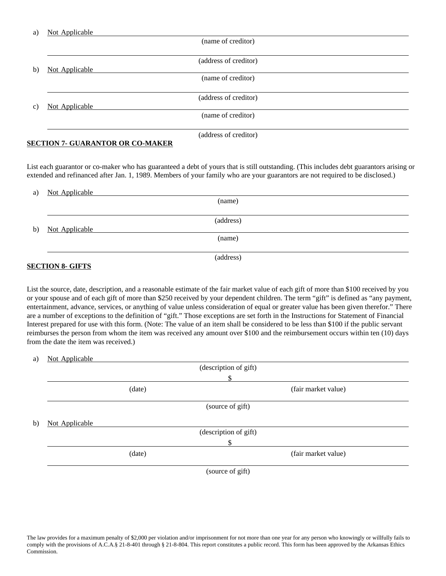| a) | Not Applicable        |
|----|-----------------------|
|    | (name of creditor)    |
|    |                       |
|    | (address of creditor) |
| b) | Not Applicable        |
|    | (name of creditor)    |
|    |                       |
|    | (address of creditor) |
| C) | Not Applicable        |
|    | (name of creditor)    |
|    |                       |
|    | (address of creditor) |

#### **SECTION 7- GUARANTOR OR CO-MAKER**

List each guarantor or co-maker who has guaranteed a debt of yours that is still outstanding. (This includes debt guarantors arising or extended and refinanced after Jan. 1, 1989. Members of your family who are your guarantors are not required to be disclosed.)

| a) | Not Applicable |
|----|----------------|
|    | (name)         |
|    |                |
|    | (address)      |
| b) | Not Applicable |
|    | (name)         |
|    |                |
|    | (address)      |

## **SECTION 8- GIFTS**

List the source, date, description, and a reasonable estimate of the fair market value of each gift of more than \$100 received by you or your spouse and of each gift of more than \$250 received by your dependent children. The term "gift" is defined as "any payment, entertainment, advance, services, or anything of value unless consideration of equal or greater value has been given therefor." There are a number of exceptions to the definition of "gift." Those exceptions are set forth in the Instructions for Statement of Financial Interest prepared for use with this form. (Note: The value of an item shall be considered to be less than \$100 if the public servant reimburses the person from whom the item was received any amount over \$100 and the reimbursement occurs within ten (10) days from the date the item was received.)

| a) | Not Applicable |                       |
|----|----------------|-----------------------|
|    |                | (description of gift) |
|    |                | \$                    |
|    | (date)         | (fair market value)   |
|    |                | (source of gift)      |
| b) | Not Applicable |                       |
|    |                | (description of gift) |
|    |                |                       |
|    | (date)         | (fair market value)   |
|    |                | (source of gift)      |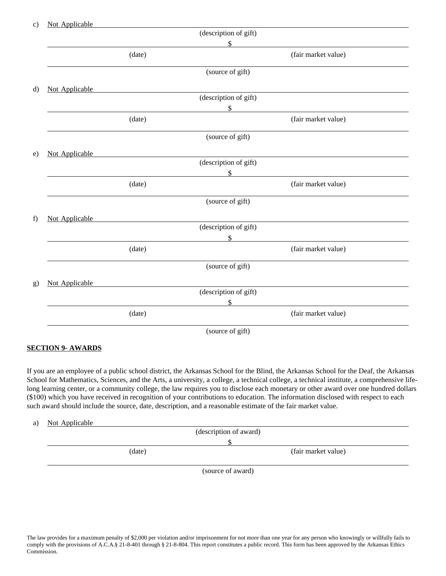| $\mathbf{c})$ | Not Applicable |                                                     |                                                                                                                                                                                                                               |
|---------------|----------------|-----------------------------------------------------|-------------------------------------------------------------------------------------------------------------------------------------------------------------------------------------------------------------------------------|
|               |                | (description of gift)                               |                                                                                                                                                                                                                               |
|               |                | $\mathcal{S}$                                       | the control of the control of the control of the control of the control of the control of                                                                                                                                     |
|               | (data)         |                                                     | (fair market value)                                                                                                                                                                                                           |
|               |                | (source of gift)                                    |                                                                                                                                                                                                                               |
| d)            | Not Applicable | <u> 1989 - Jan Barbara Barat, manazarta </u>        |                                                                                                                                                                                                                               |
|               |                | (description of gift)                               |                                                                                                                                                                                                                               |
|               |                |                                                     |                                                                                                                                                                                                                               |
|               | (date)         |                                                     | (fair market value)                                                                                                                                                                                                           |
|               |                | (source of gift)                                    |                                                                                                                                                                                                                               |
| e)            | Not Applicable |                                                     |                                                                                                                                                                                                                               |
|               |                | (description of gift)                               |                                                                                                                                                                                                                               |
|               |                | $\mathcal{S}$                                       |                                                                                                                                                                                                                               |
|               | (date)         |                                                     | (fair market value)                                                                                                                                                                                                           |
|               |                | (source of gift)                                    |                                                                                                                                                                                                                               |
| f)            | Not Applicable |                                                     |                                                                                                                                                                                                                               |
|               |                | (description of gift)                               |                                                                                                                                                                                                                               |
|               |                | \$                                                  | the control of the control of the control of the control of the control of the control of the control of the control of the control of the control of the control of the control of the control of the control of the control |
|               | (date)         |                                                     | (fair market value)                                                                                                                                                                                                           |
|               |                | (source of gift)                                    |                                                                                                                                                                                                                               |
| g)            | Not Applicable | <u> 1980 - Andrea Station, amerikansk politik (</u> |                                                                                                                                                                                                                               |
|               |                | (description of gift)                               |                                                                                                                                                                                                                               |
|               |                |                                                     | $\sim$                                                                                                                                                                                                                        |
|               | (date)         |                                                     | (fair market value)                                                                                                                                                                                                           |
|               |                | (source of gift)                                    |                                                                                                                                                                                                                               |

#### **SECTION 9- AWARDS**

If you are an employee of a public school district, the Arkansas School for the Blind, the Arkansas School for the Deaf, the Arkansas School for Mathematics, Sciences, and the Arts, a university, a college, a technical college, a technical institute, a comprehensive lifelong learning center, or a community college, the law requires you to disclose each monetary or other award over one hundred dollars (\$100) which you have received in recognition of your contributions to education. The information disclosed with respect to each such award should include the source, date, description, and a reasonable estimate of the fair market value.

#### a) Not Applicable

|        | (description of award) |
|--------|------------------------|
|        |                        |
| (date) | (fair market value)    |
|        | (source of award)      |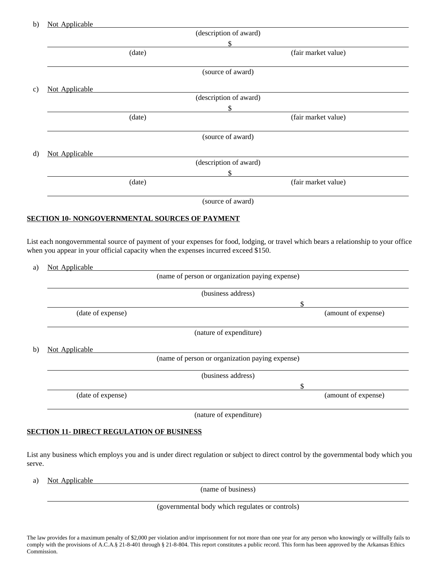|                | (description of award) |  |
|----------------|------------------------|--|
|                | \$                     |  |
| (date)         | (fair market value)    |  |
|                | (source of award)      |  |
| Not Applicable |                        |  |
|                | (description of award) |  |
|                | \$                     |  |
| (date)         | (fair market value)    |  |
|                | (source of award)      |  |
| Not Applicable |                        |  |
|                | (description of award) |  |
|                | \$                     |  |
| (date)         | (fair market value)    |  |
|                | Not Applicable         |  |

(source of award)

## **SECTION 10- NONGOVERNMENTAL SOURCES OF PAYMENT**

List each nongovernmental source of payment of your expenses for food, lodging, or travel which bears a relationship to your office when you appear in your official capacity when the expenses incurred exceed \$150.

|                                                 | (name of person or organization paying expense) |  |
|-------------------------------------------------|-------------------------------------------------|--|
|                                                 | (business address)                              |  |
|                                                 | \$                                              |  |
| (date of expense)                               | (amount of expense)                             |  |
|                                                 | (nature of expenditure)                         |  |
| Not Applicable                                  |                                                 |  |
| (name of person or organization paying expense) |                                                 |  |
| (business address)                              |                                                 |  |
|                                                 | \$                                              |  |
| (date of expense)                               | (amount of expense)                             |  |
|                                                 | (nature of expenditure)                         |  |

## **SECTION 11- DIRECT REGULATION OF BUSINESS**

List any business which employs you and is under direct regulation or subject to direct control by the governmental body which you serve.

a) Not Applicable

(name of business)

(governmental body which regulates or controls)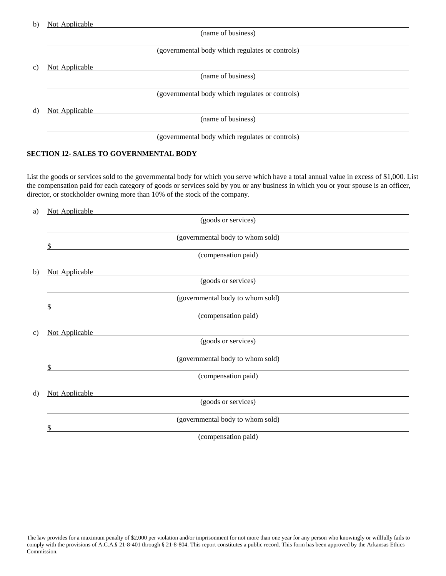| b) | Not Applicable |  |
|----|----------------|--|
|    |                |  |

(name of business)

## (governmental body which regulates or controls)

c) Not Applicable

(name of business)

(governmental body which regulates or controls)

d) Not Applicable

(name of business)

(governmental body which regulates or controls)

#### **SECTION 12- SALES TO GOVERNMENTAL BODY**

List the goods or services sold to the governmental body for which you serve which have a total annual value in excess of \$1,000. List the compensation paid for each category of goods or services sold by you or any business in which you or your spouse is an officer, director, or stockholder owning more than 10% of the stock of the company.

| Not Applicable<br>a) |                                        |
|----------------------|----------------------------------------|
|                      | (goods or services)                    |
|                      | (governmental body to whom sold)<br>\$ |
|                      | (compensation paid)                    |
| b)                   | Not Applicable                         |
|                      | (goods or services)                    |
|                      | (governmental body to whom sold)<br>\$ |
|                      | (compensation paid)                    |
| c)                   | Not Applicable                         |
|                      | (goods or services)                    |
|                      | (governmental body to whom sold)<br>\$ |
|                      | (compensation paid)                    |
| d)                   | Not Applicable                         |
|                      | (goods or services)                    |
|                      | (governmental body to whom sold)       |
|                      | \$<br>(compensation paid)              |